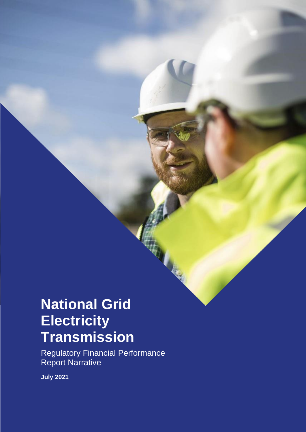# **National Grid Electricity Transmission**

Regulatory Financial Performance Report Narrative

FINANCIAL PERFORMANCE REPORT NARRATIVE – 2019/20

**July 2021**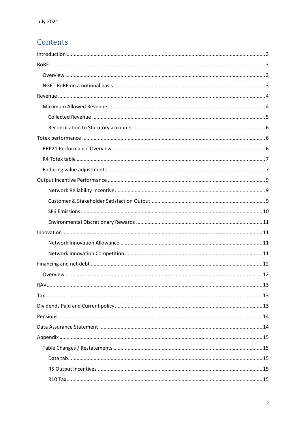## Contents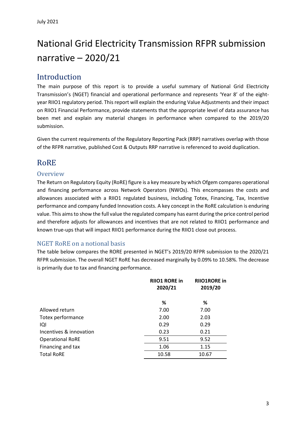## National Grid Electricity Transmission RFPR submission narrative – 2020/21

## <span id="page-2-0"></span>Introduction

The main purpose of this report is to provide a useful summary of National Grid Electricity Transmission's (NGET) financial and operational performance and represents 'Year 8' of the eightyear RIIO1 regulatory period. This report will explain the enduring Value Adjustments and their impact on RIIO1 Financial Performance, provide statements that the appropriate level of data assurance has been met and explain any material changes in performance when compared to the 2019/20 submission.

Given the current requirements of the Regulatory Reporting Pack (RRP) narratives overlap with those of the RFPR narrative, published Cost & Outputs RRP narrative is referenced to avoid duplication.

## <span id="page-2-1"></span>RoRE

#### <span id="page-2-2"></span>**Overview**

The Return on Regulatory Equity (RoRE) figure is a key measure by which Ofgem compares operational and financing performance across Network Operators (NWOs). This encompasses the costs and allowances associated with a RIIO1 regulated business, including Totex, Financing, Tax, Incentive performance and company funded Innovation costs. A key concept in the RoRE calculation is enduring value. This aims to show the full value the regulated company has earnt during the price control period and therefore adjusts for allowances and incentives that are not related to RIIO1 performance and known true-ups that will impact RIIO1 performance during the RIIO1 close out process.

#### <span id="page-2-3"></span>NGET RoRE on a notional basis

The table below compares the RORE presented in NGET's 2019/20 RFPR submission to the 2020/21 RFPR submission. The overall NGET RoRE has decreased marginally by 0.09% to 10.58%. The decrease is primarily due to tax and financing performance.

|                         | <b>RIIO1RORE in</b><br><b>RIIO1 RORE in</b><br>2020/21<br>2019/20 |       |
|-------------------------|-------------------------------------------------------------------|-------|
|                         | ℅                                                                 | %     |
| Allowed return          | 7.00                                                              | 7.00  |
| Totex performance       | 2.00                                                              | 2.03  |
| IQI                     | 0.29                                                              | 0.29  |
| Incentives & innovation | 0.23                                                              | 0.21  |
| <b>Operational RoRE</b> | 9.51                                                              | 9.52  |
| Financing and tax       | 1.06                                                              | 1.15  |
| <b>Total RoRE</b>       | 10.58                                                             | 10.67 |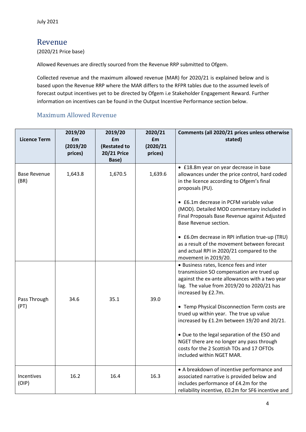## <span id="page-3-0"></span>Revenue

(2020/21 Price base)

Allowed Revenues are directly sourced from the Revenue RRP submitted to Ofgem.

Collected revenue and the maximum allowed revenue (MAR) for 2020/21 is explained below and is based upon the Revenue RRP where the MAR differs to the RFPR tables due to the assumed levels of forecast output incentives yet to be directed by Ofgem i.e Stakeholder Engagement Reward. Further information on incentives can be found in the Output Incentive Performance section below.

#### <span id="page-3-1"></span>Maximum Allowed Revenue

| <b>Licence Term</b>         | 2019/20<br>£m       | 2019/20<br>£m                               | 2020/21<br>£m        | Comments (all 2020/21 prices unless otherwise<br>stated)                                                                                                                                                                                                                                                                    |
|-----------------------------|---------------------|---------------------------------------------|----------------------|-----------------------------------------------------------------------------------------------------------------------------------------------------------------------------------------------------------------------------------------------------------------------------------------------------------------------------|
|                             | (2019/20<br>prices) | (Restated to<br><b>20/21 Price</b><br>Base) | (2020/21)<br>prices) |                                                                                                                                                                                                                                                                                                                             |
| <b>Base Revenue</b><br>(BR) | 1,643.8             | 1,670.5                                     | 1,639.6              | • £18.8m year on year decrease in base<br>allowances under the price control, hard coded<br>in the licence according to Ofgem's final<br>proposals (PU).<br>• £6.1m decrease in PCFM variable value<br>(MOD). Detailed MOD commentary included in<br>Final Proposals Base Revenue against Adjusted<br>Base Revenue section. |
|                             |                     |                                             |                      | • £6.0m decrease in RPI inflation true-up (TRU)<br>as a result of the movement between forecast<br>and actual RPI in 2020/21 compared to the<br>movement in 2019/20.                                                                                                                                                        |
| Pass Through                | 34.6                | 35.1                                        | 39.0                 | • Business rates, licence fees and inter<br>transmission SO compensation are trued up<br>against the ex-ante allowances with a two year<br>lag. The value from 2019/20 to 2020/21 has<br>increased by £2.7m.                                                                                                                |
| (PT)                        |                     |                                             |                      | • Temp Physical Disconnection Term costs are<br>trued up within year. The true up value<br>increased by £1.2m between 19/20 and 20/21.                                                                                                                                                                                      |
|                             |                     |                                             |                      | • Due to the legal separation of the ESO and<br>NGET there are no longer any pass through<br>costs for the 2 Scottish TOs and 17 OFTOs<br>included within NGET MAR.                                                                                                                                                         |
| Incentives<br>(OIP)         | 16.2                | 16.4                                        | 16.3                 | • A breakdown of incentive performance and<br>associated narrative is provided below and<br>includes performance of £4.2m for the<br>reliability incentive, £0.2m for SF6 incentive and                                                                                                                                     |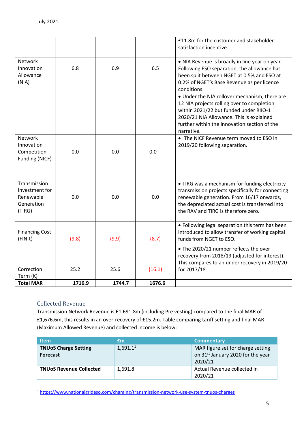| <b>Total MAR</b>                                                    | 1716.9 | 1744.7 | 1676.6 |                                                                                                                                                                                                                                                                                                                                                                                                                                                                                        |
|---------------------------------------------------------------------|--------|--------|--------|----------------------------------------------------------------------------------------------------------------------------------------------------------------------------------------------------------------------------------------------------------------------------------------------------------------------------------------------------------------------------------------------------------------------------------------------------------------------------------------|
| Correction<br>Term (K)                                              | 25.2   | 25.6   | (16.1) | for 2017/18.                                                                                                                                                                                                                                                                                                                                                                                                                                                                           |
|                                                                     |        |        |        | • The 2020/21 number reflects the over<br>recovery from 2018/19 (adjusted for interest).<br>This compares to an under recovery in 2019/20                                                                                                                                                                                                                                                                                                                                              |
| <b>Financing Cost</b><br>$(FIN-t)$                                  | (9.8)  | (9.9)  | (8.7)  | • Following legal separation this term has been<br>introduced to allow transfer of working capital<br>funds from NGET to ESO.                                                                                                                                                                                                                                                                                                                                                          |
| Transmission<br>Investment for<br>Renewable<br>Generation<br>(TIRG) | 0.0    | 0.0    | 0.0    | • TIRG was a mechanism for funding electricity<br>transmission projects specifically for connecting<br>renewable generation. From 16/17 onwards,<br>the depreciated actual cost is transferred into<br>the RAV and TIRG is therefore zero.                                                                                                                                                                                                                                             |
| Network<br>Innovation<br>Competition<br>Funding (NICF)              | 0.0    | 0.0    | 0.0    | • The NICF Revenue term moved to ESO in<br>2019/20 following separation.                                                                                                                                                                                                                                                                                                                                                                                                               |
| Network<br>Innovation<br>Allowance<br>(NIA)                         | 6.8    | 6.9    | 6.5    | satisfaction incentive.<br>. NIA Revenue is broadly in line year on year.<br>Following ESO separation, the allowance has<br>been split between NGET at 0.5% and ESO at<br>0.2% of NGET's Base Revenue as per licence<br>conditions.<br>• Under the NIA rollover mechanism, there are<br>12 NIA projects rolling over to completion<br>within 2021/22 but funded under RIIO-1<br>2020/21 NIA Allowance. This is explained<br>further within the Innovation section of the<br>narrative. |
|                                                                     |        |        |        | £11.8m for the customer and stakeholder                                                                                                                                                                                                                                                                                                                                                                                                                                                |

#### <span id="page-4-0"></span>Collected Revenue

Transmission Network Revenue is £1,691.8m (including Pre vesting) compared to the final MAR of £1,676.6m, this results in an over-recovery of £15.2m. Table comparing tariff setting and final MAR (Maximum Allowed Revenue) and collected income is below:

| <b>Item</b>                                    | £m          | <b>Commentary</b>                                                                             |
|------------------------------------------------|-------------|-----------------------------------------------------------------------------------------------|
| <b>TNUoS Charge Setting</b><br><b>Forecast</b> | $1,691.1^1$ | MAR figure set for charge setting<br>on 31 <sup>st</sup> January 2020 for the year<br>2020/21 |
| <b>TNUOS Revenue Collected</b>                 | 1.691.8     | Actual Revenue collected in<br>2020/21                                                        |

<sup>1</sup> <https://www.nationalgrideso.com/charging/transmission-network-use-system-tnuos-charges>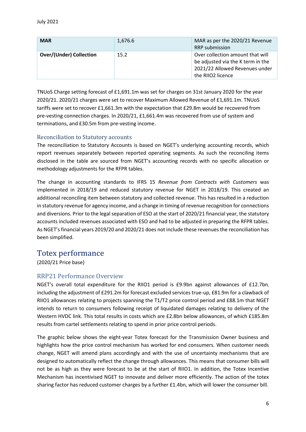| <b>MAR</b>                     | 1,676.6 | MAR as per the 2020/21 Revenue<br><b>RRP</b> submission                                                                      |
|--------------------------------|---------|------------------------------------------------------------------------------------------------------------------------------|
| <b>Over/(Under) Collection</b> | 15.2    | Over collection amount that will<br>be adjusted via the K term in the<br>2021/22 Allowed Revenues under<br>the RIIO2 licence |

TNUoS Charge setting forecast of £1,691.1m was set for charges on 31st January 2020 for the year 2020/21. 2020/21 charges were set to recover Maximum Allowed Revenue of £1,691.1m. TNUoS tariffs were set to recover £1,661.3m with the expectation that £29.8m would be recovered from pre-vesting connection charges. In 2020/21, £1,661.4m was recovered from use of system and terminations, and £30.5m from pre-vesting income.

#### <span id="page-5-0"></span>Reconciliation to Statutory accounts

The reconciliation to Statutory Accounts is based on NGET's underlying accounting records, which report revenues separately between reported operating segments. As such the reconciling items disclosed in the table are sourced from NGET's accounting records with no specific allocation or methodology adjustments for the RFPR tables.

The change in accounting standards to IFRS 15 *Revenue from Contracts with Customers* was implemented in 2018/19 and reduced statutory revenue for NGET in 2018/19. This created an additional reconciling item between statutory and collected revenue. This has resulted in a reduction in statutory revenue for agency income, and a change in timing of revenue recognition for connections and diversions. Prior to the legal separation of ESO at the start of 2020/21 financial year, the statutory accounts included revenues associated with ESO and had to be adjusted in preparing the RFPR tables. As NGET's financial years 2019/20 and 2020/21 does not include these revenues the reconciliation has been simplified.

#### <span id="page-5-1"></span>Totex performance

(2020/21 Price base)

#### <span id="page-5-2"></span>RRP21 Performance Overview

NGET's overall total expenditure for the RIIO1 period is £9.9bn against allowances of £12.7bn, including the adjustment of £291.2m for forecast excluded services true-up, £81.9m for a clawback of RIIO1 allowances relating to projects spanning the T1/T2 price control period and £88.1m that NGET intends to return to consumers following receipt of liquidated damages relating to delivery of the Western HVDC link. This total results in costs which are £2.8bn below allowances, of which £185.8m results from cartel settlements relating to spend in prior price control periods.

The graphic below shows the eight-year Totex forecast for the Transmission Owner business and highlights how the price control mechanism has worked for end consumers. When customer needs change, NGET will amend plans accordingly and with the use of uncertainty mechanisms that are designed to automatically reflect the change through allowances. This means that consumer bills will not be as high as they were forecast to be at the start of RIIO1. In addition, the Totex Incentive Mechanism has incentivised NGET to innovate and deliver more efficiently. The action of the totex sharing factor has reduced customer charges by a further £1.4bn, which will lower the consumer bill.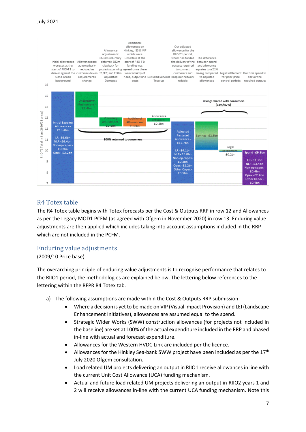

#### <span id="page-6-0"></span>R4 Totex table

The R4 Totex table begins with Totex forecasts per the Cost & Outputs RRP in row 12 and Allowances as per the Legacy MOD1 PCFM (as agreed with Ofgem in November 2020) in row 13. Enduring value adjustments are then applied which includes taking into account assumptions included in the RRP which are not included in the PCFM.

#### <span id="page-6-1"></span>Enduring value adjustments

#### (2009/10 Price base)

The overarching principle of enduring value adjustments is to recognise performance that relates to the RIIO1 period, the methodologies are explained below. The lettering below references to the lettering within the RFPR R4 Totex tab.

- a) The following assumptions are made within the Cost & Outputs RRP submission:
	- Where a decision is yet to be made on VIP (Visual Impact Provision) and LEI (Landscape Enhancement Initiatives), allowances are assumed equal to the spend.
	- Strategic Wider Works (SWW) construction allowances (for projects not included in the baseline) are set at 100% of the actual expenditure included in the RRP and phased in-line with actual and forecast expenditure.
	- Allowances for the Western HVDC Link are included per the licence.
	- Allowances for the Hinkley Sea-bank SWW project have been included as per the  $17<sup>th</sup>$ July 2020 Ofgem consultation.
	- Load related UM projects delivering an output in RIIO1 receive allowances in line with the current Unit Cost Allowance (UCA) funding mechanism.
	- Actual and future load related UM projects delivering an output in RIIO2 years 1 and 2 will receive allowances in-line with the current UCA funding mechanism. Note this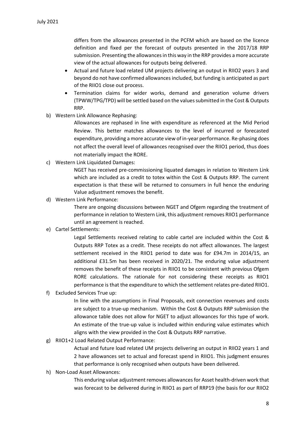differs from the allowances presented in the PCFM which are based on the licence definition and fixed per the forecast of outputs presented in the 2017/18 RRP submission. Presenting the allowances in this way in the RRP provides a more accurate view of the actual allowances for outputs being delivered.

- Actual and future load related UM projects delivering an output in RIIO2 years 3 and beyond do not have confirmed allowances included, but funding is anticipated as part of the RIIO1 close out process.
- Termination claims for wider works, demand and generation volume drivers (TPWW/TPG/TPD) will be settled based on the values submitted in the Cost & Outputs RRP.
- b) Western Link Allowance Rephasing:

Allowances are rephased in line with expenditure as referenced at the Mid Period Review. This better matches allowances to the level of incurred or forecasted expenditure, providing a more accurate view of in-year performance. Re-phasing does not affect the overall level of allowances recognised over the RIIO1 period, thus does not materially impact the RORE.

c) Western Link Liquidated Damages:

NGET has received pre-commissioning liquated damages in relation to Western Link which are included as a credit to totex within the Cost & Outputs RRP. The current expectation is that these will be returned to consumers in full hence the enduring Value adjustment removes the benefit.

d) Western Link Performance:

There are ongoing discussions between NGET and Ofgem regarding the treatment of performance in relation to Western Link, this adjustment removes RIIO1 performance until an agreement is reached.

e) Cartel Settlements:

Legal Settlements received relating to cable cartel are included within the Cost & Outputs RRP Totex as a credit. These receipts do not affect allowances. The largest settlement received in the RIIO1 period to date was for £94.7m in 2014/15, an additional £31.5m has been received in 2020/21. The enduring value adjustment removes the benefit of these receipts in RIIO1 to be consistent with previous Ofgem RORE calculations. The rationale for not considering these receipts as RIIO1 performance is that the expenditure to which the settlement relates pre-dated RIIO1.

f) Excluded Services True up:

In line with the assumptions in Final Proposals, exit connection revenues and costs are subject to a true-up mechanism. Within the Cost & Outputs RRP submission the allowance table does not allow for NGET to adjust allowances for this type of work. An estimate of the true-up value is included within enduring value estimates which aligns with the view provided in the Cost & Outputs RRP narrative.

g) RIIO1+2 Load Related Output Performance:

Actual and future load related UM projects delivering an output in RIIO2 years 1 and 2 have allowances set to actual and forecast spend in RIIO1. This judgment ensures that performance is only recognised when outputs have been delivered.

h) Non-Load Asset Allowances:

This enduring value adjustment removes allowances for Asset health-driven work that was forecast to be delivered during in RIIO1 as part of RRP19 (the basis for our RIIO2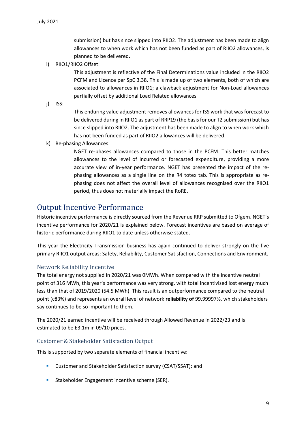submission) but has since slipped into RIIO2. The adjustment has been made to align allowances to when work which has not been funded as part of RIIO2 allowances, is planned to be delivered.

i) RIIO1/RIIO2 Offset:

This adjustment is reflective of the Final Determinations value included in the RIIO2 PCFM and Licence per SpC 3.38. This is made up of two elements, both of which are associated to allowances in RIIO1; a clawback adjustment for Non-Load allowances partially offset by additional Load Related allowances.

j) ISS:

This enduring value adjustment removes allowances for ISS work that was forecast to be delivered during in RIIO1 as part of RRP19 (the basis for our T2 submission) but has since slipped into RIIO2. The adjustment has been made to align to when work which has not been funded as part of RIIO2 allowances will be delivered.

k) Re-phasing Allowances:

NGET re-phases allowances compared to those in the PCFM. This better matches allowances to the level of incurred or forecasted expenditure, providing a more accurate view of in-year performance. NGET has presented the impact of the rephasing allowances as a single line on the R4 totex tab. This is appropriate as rephasing does not affect the overall level of allowances recognised over the RIIO1 period, thus does not materially impact the RoRE.

### <span id="page-8-0"></span>Output Incentive Performance

Historic incentive performance is directly sourced from the Revenue RRP submitted to Ofgem. NGET's incentive performance for 2020/21 is explained below. Forecast incentives are based on average of historic performance during RIIO1 to date unless otherwise stated.

This year the Electricity Transmission business has again continued to deliver strongly on the five primary RIIO1 output areas: Safety, Reliability, Customer Satisfaction, Connections and Environment.

#### <span id="page-8-1"></span>Network Reliability Incentive

The total energy not supplied in 2020/21 was 0MWh. When compared with the incentive neutral point of 316 MWh, this year's performance was very strong, with total incentivised lost energy much less than that of 2019/2020 (54.5 MWh). This result is an outperformance compared to the neutral point (c83%) and represents an overall level of network **reliability of** 99.99997%, which stakeholders say continues to be so important to them.

The 2020/21 earned incentive will be received through Allowed Revenue in 2022/23 and is estimated to be £3.1m in 09/10 prices.

#### <span id="page-8-2"></span>Customer & Stakeholder Satisfaction Output

This is supported by two separate elements of financial incentive:

- Customer and Stakeholder Satisfaction survey (CSAT/SSAT); and
- **EXECTE:** Stakeholder Engagement incentive scheme (SER).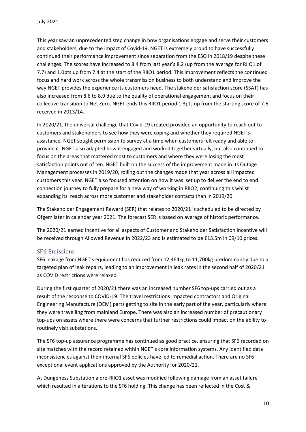This year saw an unprecedented step change in how organisations engage and serve their customers and stakeholders, due to the impact of Covid-19. NGET is extremely proud to have successfully continued their performance improvement since separation from the ESO in 2018/19 despite these challenges. The scores have increased to 8.4 from last year's 8.2 (up from the average for RIIO1 of 7.7) and 1.0pts up from 7.4 at the start of the RIIO1 period. This improvement reflects the continued focus and hard work across the whole transmission business to both understand and improve the way NGET provides the experience its customers need. The stakeholder satisfaction score (SSAT) has also increased from 8.6 to 8.9 due to the quality of operational engagement and focus on their collective transition to Net Zero. NGET ends this RIIO1 period 1.3pts up from the starting score of 7.6 received in 2013/14.

In 2020/21, the universal challenge that Covid-19 created provided an opportunity to reach out to customers and stakeholders to see how they were coping and whether they required NGET's assistance. NGET sought permission to survey at a time when customers felt ready and able to provide it. NGET also adapted how it engaged and worked together virtually, but also continued to focus on the areas that mattered most to customers and where they were losing the most satisfaction points out of ten. NGET built on the success of the improvement made in its Outage Management processes in 2019/20, rolling out the changes made that year across all impacted customers this year. NGET also focused attention on how it was set up to deliver the end to end connection journey to fully prepare for a new way of working in RIIO2, continuing this whilst expanding its reach across more customer and stakeholder contacts than in 2019/20.

The Stakeholder Engagement Reward (SER) that relates to 2020/21 is scheduled to be directed by Ofgem later in calendar year 2021. The forecast SER is based on average of historic performance.

The 2020/21 earned incentive for all aspects of Customer and Stakeholder Satisfaction incentive will be received through Allowed Revenue in 2022/23 and is estimated to be £13.5m in 09/10 prices.

#### <span id="page-9-0"></span>SF6 Emissions

SF6 leakage from NGET's equipment has reduced from 12,464kg to 11,700kg predominantly due to a targeted plan of leak repairs, leading to an improvement in leak rates in the second half of 2020/21 as COVID restrictions were relaxed.

During the first quarter of 2020/21 there was an increased number SF6 top-ups carried out as a result of the response to COVID-19. The travel restrictions impacted contractors and Original Engineering Manufacture (OEM) parts getting to site in the early part of the year, particularly where they were travelling from mainland Europe. There was also an increased number of precautionary top-ups on assets where there were concerns that further restrictions could impact on the ability to routinely visit substations.

The SF6 top-up assurance programme has continued as good practice, ensuring that SF6 recorded on site matches with the record retained within NGET's core information systems. Any identified data inconsistencies against their internal SF6 policies have led to remedial action. There are no SF6 exceptional event applications approved by the Authority for 2020/21.

At Dungeness Substation a pre-RIIO1 asset was modified following damage from an asset failure which resulted in alterations to the SF6 holding. This change has been reflected in the Cost &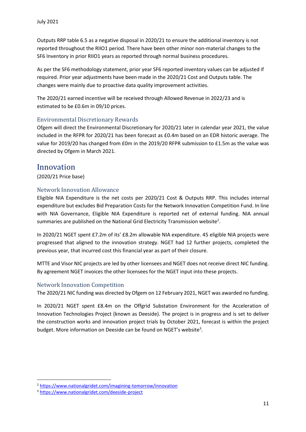Outputs RRP table 6.5 as a negative disposal in 2020/21 to ensure the additional inventory is not reported throughout the RIIO1 period. There have been other minor non-material changes to the SF6 Inventory in prior RIIO1 years as reported through normal business procedures.

As per the SF6 methodology statement, prior year SF6 reported inventory values can be adjusted if required. Prior year adjustments have been made in the 2020/21 Cost and Outputs table. The changes were mainly due to proactive data quality improvement activities.

The 2020/21 earned incentive will be received through Allowed Revenue in 2022/23 and is estimated to be £0.6m in 09/10 prices.

#### <span id="page-10-0"></span>Environmental Discretionary Rewards

Ofgem will direct the Environmental Discretionary for 2020/21 later in calendar year 2021, the value included in the RFPR for 2020/21 has been forecast as £0.4m based on an EDR historic average. The value for 2019/20 has changed from £0m in the 2019/20 RFPR submission to £1.5m as the value was directed by Ofgem in March 2021.

### <span id="page-10-1"></span>Innovation

(2020/21 Price base)

#### <span id="page-10-2"></span>Network Innovation Allowance

Eligible NIA Expenditure is the net costs per 2020/21 Cost & Outputs RRP. This includes internal expenditure but excludes Bid Preparation Costs for the Network Innovation Competition Fund. In line with NIA Governance, Eligible NIA Expenditure is reported net of external funding. NIA annual summaries are published on the National Grid Electricity Transmission website<sup>2</sup>.

In 2020/21 NGET spent £7.2m of its' £8.2m allowable NIA expenditure. 45 eligible NIA projects were progressed that aligned to the innovation strategy. NGET had 12 further projects, completed the previous year, that incurred cost this financial year as part of their closure.

MTTE and Visor NIC projects are led by other licensees and NGET does not receive direct NIC funding. By agreement NGET invoices the other licensees for the NGET input into these projects.

#### <span id="page-10-3"></span>Network Innovation Competition

The 2020/21 NIC funding was directed by Ofgem on 12 February 2021, NGET was awarded no funding.

In 2020/21 NGET spent £8.4m on the Offgrid Substation Environment for the Acceleration of Innovation Technologies Project (known as Deeside). The project is in progress and is set to deliver the construction works and innovation project trials by October 2021, forecast is within the project budget. More information on Deeside can be found on NGET's website<sup>3</sup>.

<sup>2</sup> <https://www.nationalgridet.com/imagining-tomorrow/innovation>

<sup>3</sup> <https://www.nationalgridet.com/deeside-project>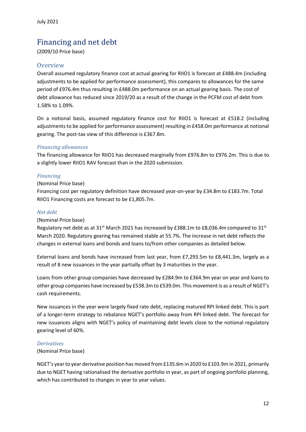## <span id="page-11-0"></span>Financing and net debt

(2009/10 Price base)

#### <span id="page-11-1"></span>**Overview**

Overall assumed regulatory finance cost at actual gearing for RIIO1 is forecast at £488.4m (including adjustments to be applied for performance assessment), this compares to allowances for the same period of £976.4m thus resulting in £488.0m performance on an actual gearing basis. The cost of debt allowance has reduced since 2019/20 as a result of the change in the PCFM cost of debt from 1.58% to 1.09%.

On a notional basis, assumed regulatory finance cost for RIIO1 is forecast at £518.2 (including adjustments to be applied for performance assessment) resulting in £458.0m performance at notional gearing. The post-tax view of this difference is £367.8m.

#### *Financing allowances*

The financing allowance for RIIO1 has decreased marginally from £976.8m to £976.2m. This is due to a slightly lower RIIO1 RAV forecast than in the 2020 submission.

#### *Financing*

#### (Nominal Price base)

Financing cost per regulatory definition have decreased year-on-year by £34.8m to £183.7m. Total RIIO1 Financing costs are forecast to be £1,805.7m.

#### *Net debt*

#### (Nominal Price base)

Regulatory net debt as at 31<sup>st</sup> March 2021 has increased by £388.1m to £8,036.4m compared to 31<sup>st</sup> March 2020. Regulatory gearing has remained stable at 55.7%. The increase in net debt reflects the changes in external loans and bonds and loans to/from other companies as detailed below.

External loans and bonds have increased from last year, from £7,293.5m to £8,441.3m, largely as a result of 8 new issuances in the year partially offset by 3 maturities in the year.

Loans from other group companies have decreased by £284.9m to £364.9m year on year and loans to other group companies have increased by £538.3m to £539.0m. This movement is as a result of NGET's cash requirements.

New issuances in the year were largely fixed rate debt, replacing matured RPI linked debt. This is part of a longer-term strategy to rebalance NGET's portfolio away from RPI linked debt. The forecast for new issuances aligns with NGET's policy of maintaining debt levels close to the notional regulatory gearing level of 60%.

#### *Derivatives*

#### (Nominal Price base)

NGET's year to year derivative position has moved from £135.6m in 2020 to £103.9m in 2021, primarily due to NGET having rationalised the derivative portfolio in year, as part of ongoing portfolio planning, which has contributed to changes in year to year values.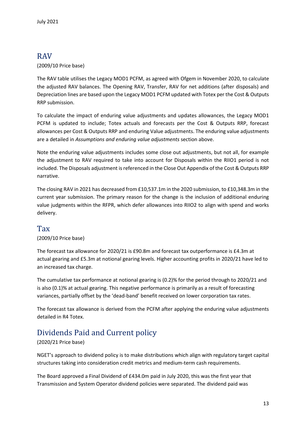## <span id="page-12-0"></span>RAV

#### (2009/10 Price base)

The RAV table utilises the Legacy MOD1 PCFM, as agreed with Ofgem in November 2020, to calculate the adjusted RAV balances. The Opening RAV, Transfer, RAV for net additions (after disposals) and Depreciation lines are based upon the Legacy MOD1 PCFM updated with Totex per the Cost & Outputs RRP submission.

To calculate the impact of enduring value adjustments and updates allowances, the Legacy MOD1 PCFM is updated to include; Totex actuals and forecasts per the Cost & Outputs RRP, forecast allowances per Cost & Outputs RRP and enduring Value adjustments. The enduring value adjustments are a detailed in *Assumptions and enduring value adjustments* section above.

Note the enduring value adjustments includes some close out adjustments, but not all, for example the adjustment to RAV required to take into account for Disposals within the RIIO1 period is not included. The Disposals adjustment is referenced in the Close Out Appendix of the Cost & Outputs RRP narrative.

The closing RAV in 2021 has decreased from £10,537.1m in the 2020 submission, to £10,348.3m in the current year submission. The primary reason for the change is the inclusion of additional enduring value judgments within the RFPR, which defer allowances into RIIO2 to align with spend and works delivery.

## <span id="page-12-1"></span>Tax

#### (2009/10 Price base)

The forecast tax allowance for 2020/21 is £90.8m and forecast tax outperformance is £4.3m at actual gearing and £5.3m at notional gearing levels. Higher accounting profits in 2020/21 have led to an increased tax charge.

The cumulative tax performance at notional gearing is (0.2)% for the period through to 2020/21 and is also (0.1)% at actual gearing. This negative performance is primarily as a result of forecasting variances, partially offset by the 'dead-band' benefit received on lower corporation tax rates.

The forecast tax allowance is derived from the PCFM after applying the enduring value adjustments detailed in R4 Totex.

## <span id="page-12-2"></span>Dividends Paid and Current policy

#### (2020/21 Price base)

NGET's approach to dividend policy is to make distributions which align with regulatory target capital structures taking into consideration credit metrics and medium-term cash requirements.

The Board approved a Final Dividend of £434.0m paid in July 2020, this was the first year that Transmission and System Operator dividend policies were separated. The dividend paid was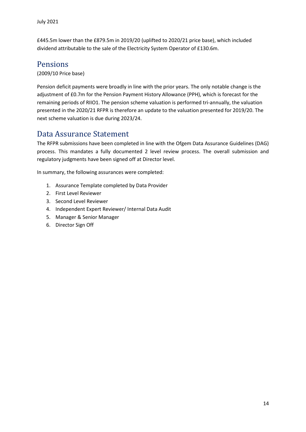£445.5m lower than the £879.5m in 2019/20 (uplifted to 2020/21 price base), which included dividend attributable to the sale of the Electricity System Operator of £130.6m.

### <span id="page-13-0"></span>Pensions

(2009/10 Price base)

Pension deficit payments were broadly in line with the prior years. The only notable change is the adjustment of £0.7m for the Pension Payment History Allowance (PPH), which is forecast for the remaining periods of RIIO1. The pension scheme valuation is performed tri-annually, the valuation presented in the 2020/21 RFPR is therefore an update to the valuation presented for 2019/20. The next scheme valuation is due during 2023/24.

## <span id="page-13-1"></span>Data Assurance Statement

The RFPR submissions have been completed in line with the Ofgem Data Assurance Guidelines (DAG) process. This mandates a fully documented 2 level review process. The overall submission and regulatory judgments have been signed off at Director level.

In summary, the following assurances were completed:

- 1. Assurance Template completed by Data Provider
- 2. First Level Reviewer
- 3. Second Level Reviewer
- 4. Independent Expert Reviewer/ Internal Data Audit
- 5. Manager & Senior Manager
- 6. Director Sign Off